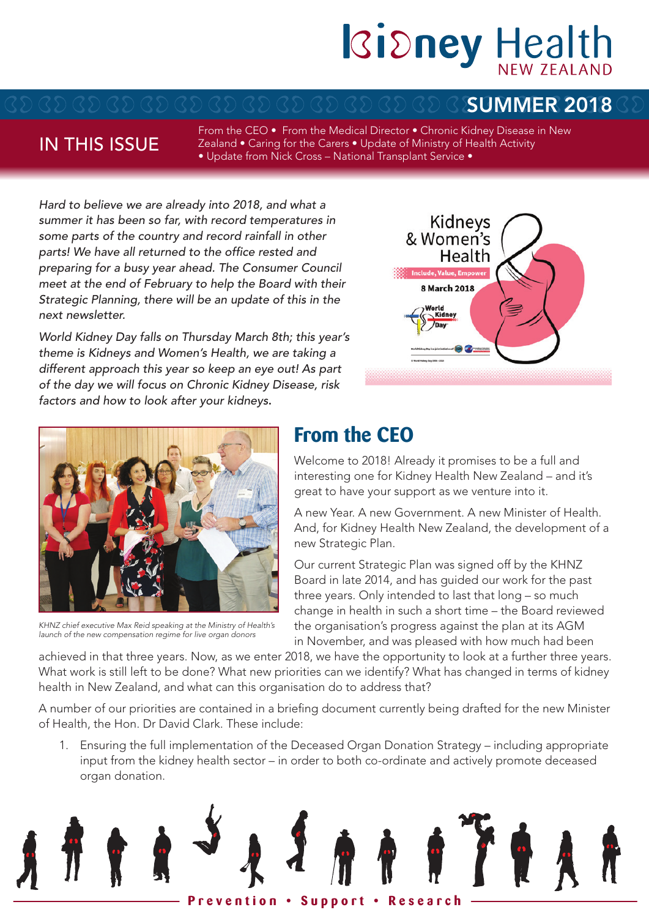# Ridney Health

### SUMMER 2018

### IN THIS ISSUE

From the CEO • From the Medical Director • Chronic Kidney Disease in New Zealand • Caring for the Carers • Update of Ministry of Health Activity • Update from Nick Cross – National Transplant Service •

*Hard to believe we are already into 2018, and what a summer it has been so far, with record temperatures in some parts of the country and record rainfall in other parts! We have all returned to the office rested and preparing for a busy year ahead. The Consumer Council meet at the end of February to help the Board with their Strategic Planning, there will be an update of this in the next newsletter.*

*World Kidney Day falls on Thursday March 8th; this year's theme is Kidneys and Women's Health, we are taking a different approach this year so keep an eye out! As part of the day we will focus on Chronic Kidney Disease, risk factors and how to look after your kidneys*.





*KHNZ chief executive Max Reid speaking at the Ministry of Health's launch of the new compensation regime for live organ donors*

# **From the CEO**

Welcome to 2018! Already it promises to be a full and interesting one for Kidney Health New Zealand – and it's great to have your support as we venture into it.

A new Year. A new Government. A new Minister of Health. And, for Kidney Health New Zealand, the development of a new Strategic Plan.

Our current Strategic Plan was signed off by the KHNZ Board in late 2014, and has guided our work for the past three years. Only intended to last that long – so much change in health in such a short time – the Board reviewed the organisation's progress against the plan at its AGM in November, and was pleased with how much had been

achieved in that three years. Now, as we enter 2018, we have the opportunity to look at a further three years. What work is still left to be done? What new priorities can we identify? What has changed in terms of kidney health in New Zealand, and what can this organisation do to address that?

A number of our priorities are contained in a briefing document currently being drafted for the new Minister of Health, the Hon. Dr David Clark. These include:

1. Ensuring the full implementation of the Deceased Organ Donation Strategy – including appropriate input from the kidney health sector – in order to both co-ordinate and actively promote deceased organ donation.

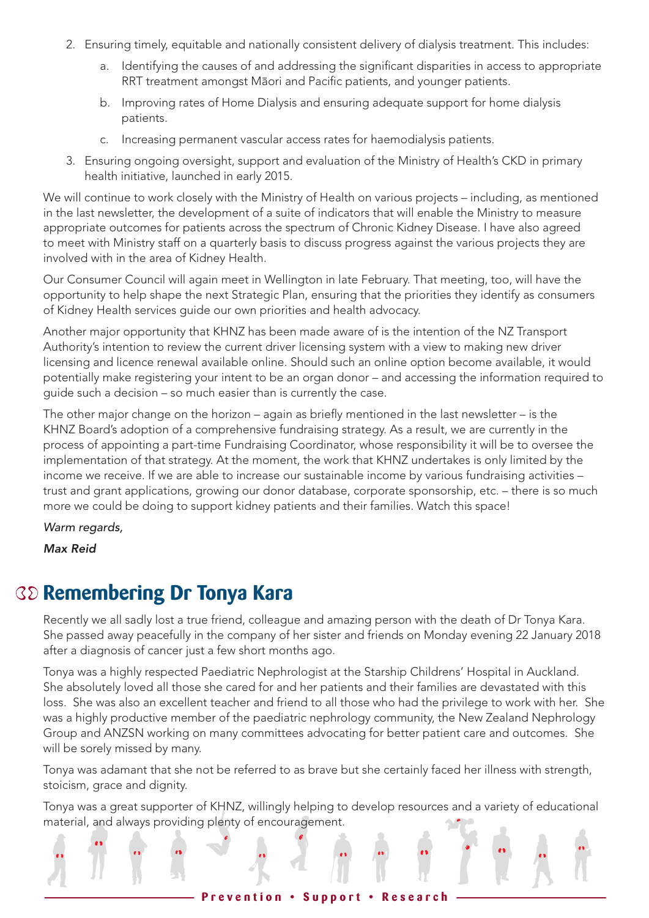- 2. Ensuring timely, equitable and nationally consistent delivery of dialysis treatment. This includes:
	- a. Identifying the causes of and addressing the significant disparities in access to appropriate RRT treatment amongst Maori and Pacific patients, and younger patients.
	- b. Improving rates of Home Dialysis and ensuring adequate support for home dialysis patients.
	- c. Increasing permanent vascular access rates for haemodialysis patients.
- 3. Ensuring ongoing oversight, support and evaluation of the Ministry of Health's CKD in primary health initiative, launched in early 2015.

We will continue to work closely with the Ministry of Health on various projects – including, as mentioned in the last newsletter, the development of a suite of indicators that will enable the Ministry to measure appropriate outcomes for patients across the spectrum of Chronic Kidney Disease. I have also agreed to meet with Ministry staff on a quarterly basis to discuss progress against the various projects they are involved with in the area of Kidney Health.

Our Consumer Council will again meet in Wellington in late February. That meeting, too, will have the opportunity to help shape the next Strategic Plan, ensuring that the priorities they identify as consumers of Kidney Health services guide our own priorities and health advocacy.

Another major opportunity that KHNZ has been made aware of is the intention of the NZ Transport Authority's intention to review the current driver licensing system with a view to making new driver licensing and licence renewal available online. Should such an online option become available, it would potentially make registering your intent to be an organ donor – and accessing the information required to guide such a decision – so much easier than is currently the case.

The other major change on the horizon – again as briefly mentioned in the last newsletter – is the KHNZ Board's adoption of a comprehensive fundraising strategy. As a result, we are currently in the process of appointing a part-time Fundraising Coordinator, whose responsibility it will be to oversee the implementation of that strategy. At the moment, the work that KHNZ undertakes is only limited by the income we receive. If we are able to increase our sustainable income by various fundraising activities – trust and grant applications, growing our donor database, corporate sponsorship, etc. – there is so much more we could be doing to support kidney patients and their families. Watch this space!

*Warm regards,*

*Max Reid*

### **Remembering Dr Tonya Kara**

Recently we all sadly lost a true friend, colleague and amazing person with the death of Dr Tonya Kara. She passed away peacefully in the company of her sister and friends on Monday evening 22 January 2018 after a diagnosis of cancer just a few short months ago.

Tonya was a highly respected Paediatric Nephrologist at the Starship Childrens' Hospital in Auckland. She absolutely loved all those she cared for and her patients and their families are devastated with this loss. She was also an excellent teacher and friend to all those who had the privilege to work with her. She was a highly productive member of the paediatric nephrology community, the New Zealand Nephrology Group and ANZSN working on many committees advocating for better patient care and outcomes. She will be sorely missed by many.

Tonya was adamant that she not be referred to as brave but she certainly faced her illness with strength, stoicism, grace and dignity.

Tonya was a great supporter of KHNZ, willingly helping to develop resources and a variety of educational material, and always providing plenty of encouragement.

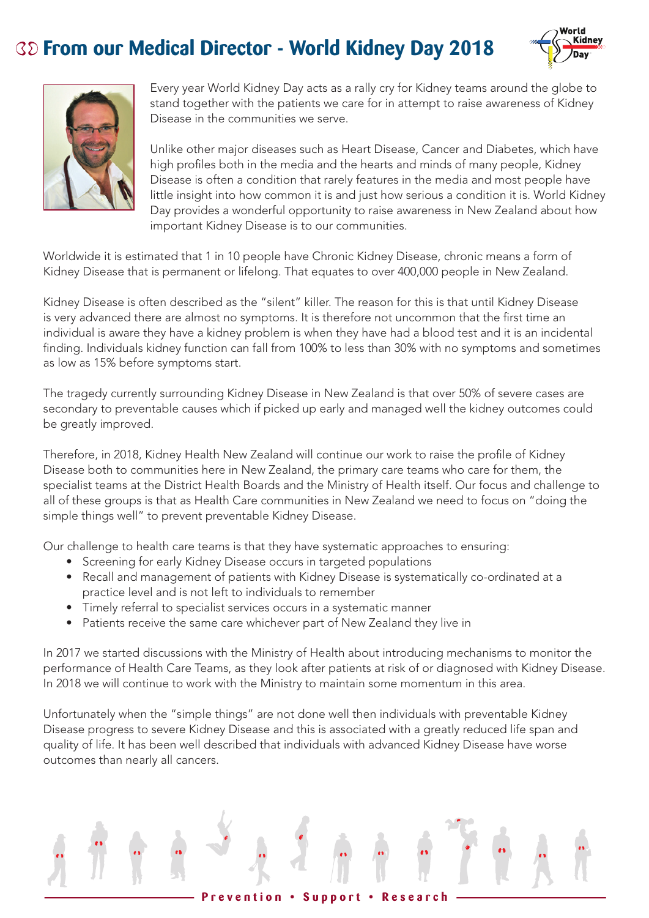# **From our Medical Director - World Kidney Day 2018**





Every year World Kidney Day acts as a rally cry for Kidney teams around the globe to stand together with the patients we care for in attempt to raise awareness of Kidney Disease in the communities we serve.

Unlike other major diseases such as Heart Disease, Cancer and Diabetes, which have high profiles both in the media and the hearts and minds of many people, Kidney Disease is often a condition that rarely features in the media and most people have little insight into how common it is and just how serious a condition it is. World Kidney Day provides a wonderful opportunity to raise awareness in New Zealand about how important Kidney Disease is to our communities.

Worldwide it is estimated that 1 in 10 people have Chronic Kidney Disease, chronic means a form of Kidney Disease that is permanent or lifelong. That equates to over 400,000 people in New Zealand.

Kidney Disease is often described as the "silent" killer. The reason for this is that until Kidney Disease is very advanced there are almost no symptoms. It is therefore not uncommon that the first time an individual is aware they have a kidney problem is when they have had a blood test and it is an incidental finding. Individuals kidney function can fall from 100% to less than 30% with no symptoms and sometimes as low as 15% before symptoms start.

The tragedy currently surrounding Kidney Disease in New Zealand is that over 50% of severe cases are secondary to preventable causes which if picked up early and managed well the kidney outcomes could be greatly improved.

Therefore, in 2018, Kidney Health New Zealand will continue our work to raise the profile of Kidney Disease both to communities here in New Zealand, the primary care teams who care for them, the specialist teams at the District Health Boards and the Ministry of Health itself. Our focus and challenge to all of these groups is that as Health Care communities in New Zealand we need to focus on "doing the simple things well" to prevent preventable Kidney Disease.

Our challenge to health care teams is that they have systematic approaches to ensuring:

- Screening for early Kidney Disease occurs in targeted populations
- Recall and management of patients with Kidney Disease is systematically co-ordinated at a practice level and is not left to individuals to remember
- Timely referral to specialist services occurs in a systematic manner
- Patients receive the same care whichever part of New Zealand they live in

In 2017 we started discussions with the Ministry of Health about introducing mechanisms to monitor the performance of Health Care Teams, as they look after patients at risk of or diagnosed with Kidney Disease. In 2018 we will continue to work with the Ministry to maintain some momentum in this area.

Unfortunately when the "simple things" are not done well then individuals with preventable Kidney Disease progress to severe Kidney Disease and this is associated with a greatly reduced life span and quality of life. It has been well described that individuals with advanced Kidney Disease have worse outcomes than nearly all cancers.

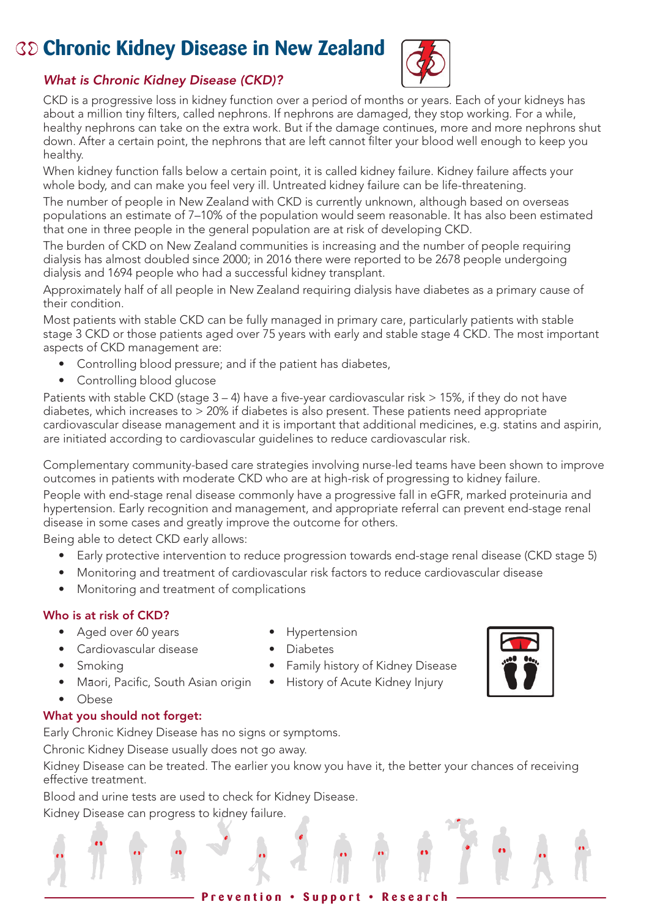# **Chronic Kidney Disease in New Zealand**



### *What is Chronic Kidney Disease (CKD)?*

CKD is a progressive loss in kidney function over a period of months or years. Each of your kidneys has about a million tiny filters, called nephrons. If nephrons are damaged, they stop working. For a while, healthy nephrons can take on the extra work. But if the damage continues, more and more nephrons shut down. After a certain point, the nephrons that are left cannot filter your blood well enough to keep you healthy.

When kidney function falls below a certain point, it is called kidney failure. Kidney failure affects your whole body, and can make you feel very ill. Untreated kidney failure can be life-threatening.

The number of people in New Zealand with CKD is currently unknown, although based on overseas populations an estimate of 7–10% of the population would seem reasonable. It has also been estimated that one in three people in the general population are at risk of developing CKD.

The burden of CKD on New Zealand communities is increasing and the number of people requiring dialysis has almost doubled since 2000; in 2016 there were reported to be 2678 people undergoing dialysis and 1694 people who had a successful kidney transplant.

Approximately half of all people in New Zealand requiring dialysis have diabetes as a primary cause of their condition.

Most patients with stable CKD can be fully managed in primary care, particularly patients with stable stage 3 CKD or those patients aged over 75 years with early and stable stage 4 CKD. The most important aspects of CKD management are:

- Controlling blood pressure; and if the patient has diabetes,
- Controlling blood glucose

Patients with stable CKD (stage  $3 - 4$ ) have a five-year cardiovascular risk  $> 15\%$ , if they do not have diabetes, which increases to  $> 20\%$  if diabetes is also present. These patients need appropriate cardiovascular disease management and it is important that additional medicines, e.g. statins and aspirin, are initiated according to cardiovascular guidelines to reduce cardiovascular risk.

Complementary community-based care strategies involving nurse-led teams have been shown to improve outcomes in patients with moderate CKD who are at high-risk of progressing to kidney failure.

People with end-stage renal disease commonly have a progressive fall in eGFR, marked proteinuria and hypertension. Early recognition and management, and appropriate referral can prevent end-stage renal disease in some cases and greatly improve the outcome for others.

Being able to detect CKD early allows:

- Early protective intervention to reduce progression towards end-stage renal disease (CKD stage 5)
- Monitoring and treatment of cardiovascular risk factors to reduce cardiovascular disease
- Monitoring and treatment of complications

### Who is at risk of CKD?

- Aged over 60 years Hypertension
- - Cardiovascular disease Diabetes
- Smoking Family history of Kidney Disease
- Maori, Pacific, South Asian origin History of Acute Kidney Injury
	-

• Obese

### What you should not forget:

Early Chronic Kidney Disease has no signs or symptoms.

Chronic Kidney Disease usually does not go away.

Kidney Disease can be treated. The earlier you know you have it, the better your chances of receiving effective treatment.

Blood and urine tests are used to check for Kidney Disease.

Kidney Disease can progress to kidney failure.

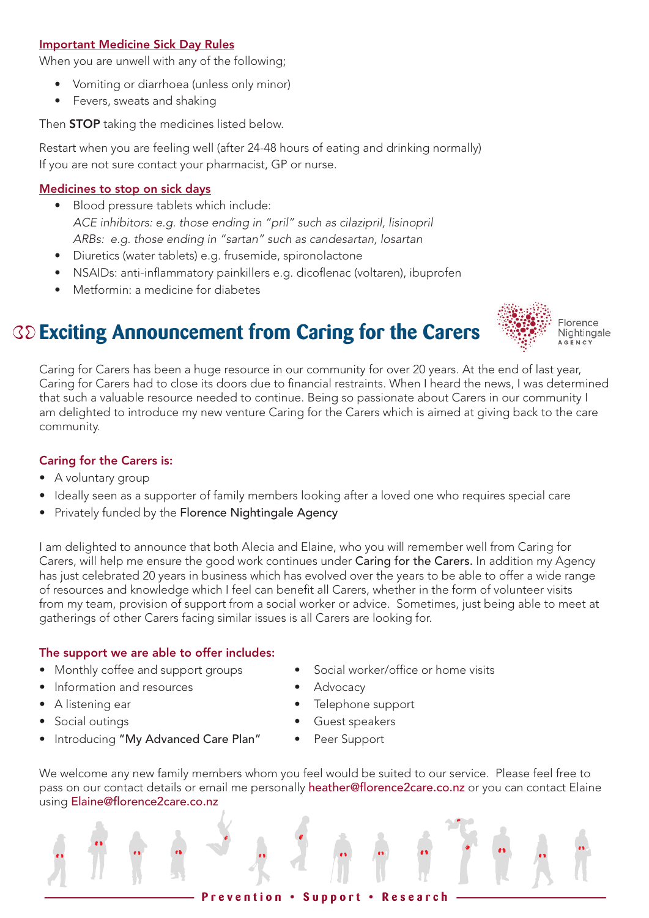### Important Medicine Sick Day Rules

When you are unwell with any of the following;

- Vomiting or diarrhoea (unless only minor)
- Fevers, sweats and shaking

Then **STOP** taking the medicines listed below.

Restart when you are feeling well (after 24-48 hours of eating and drinking normally) If you are not sure contact your pharmacist, GP or nurse.

### Medicines to stop on sick days

- Blood pressure tablets which include: *ACE inhibitors: e.g. those ending in "pril" such as cilazipril, lisinopril ARBs: e.g. those ending in "sartan" such as candesartan, losartan*
- Diuretics (water tablets) e.g. frusemide, spironolactone
- NSAIDs: anti-inflammatory painkillers e.g. dicoflenac (voltaren), ibuprofen
- Metformin: a medicine for diabetes



# **Exciting Announcement from Caring for the Carers**

Caring for Carers has been a huge resource in our community for over 20 years. At the end of last year, Caring for Carers had to close its doors due to financial restraints. When I heard the news, I was determined that such a valuable resource needed to continue. Being so passionate about Carers in our community I am delighted to introduce my new venture Caring for the Carers which is aimed at giving back to the care community.

### Caring for the Carers is:

- A voluntary group
- Ideally seen as a supporter of family members looking after a loved one who requires special care
- Privately funded by the Florence Nightingale Agency

I am delighted to announce that both Alecia and Elaine, who you will remember well from Caring for Carers, will help me ensure the good work continues under Caring for the Carers. In addition my Agency has just celebrated 20 years in business which has evolved over the years to be able to offer a wide range of resources and knowledge which I feel can benefit all Carers, whether in the form of volunteer visits from my team, provision of support from a social worker or advice. Sometimes, just being able to meet at gatherings of other Carers facing similar issues is all Carers are looking for.

### The support we are able to offer includes:

- Monthly coffee and support groups Social worker/office or home visits
- Information and resources **•** Advocacy
- 
- 
- Introducing "My Advanced Care Plan" Peer Support
- 
- 
- A listening ear **•** Telephone support
- Social outings Guest speakers
	-

We welcome any new family members whom you feel would be suited to our service. Please feel free to pass on our contact details or email me personally heather@florence2care.co.nz or you can contact Elaine using Elaine@florence2care.co.nz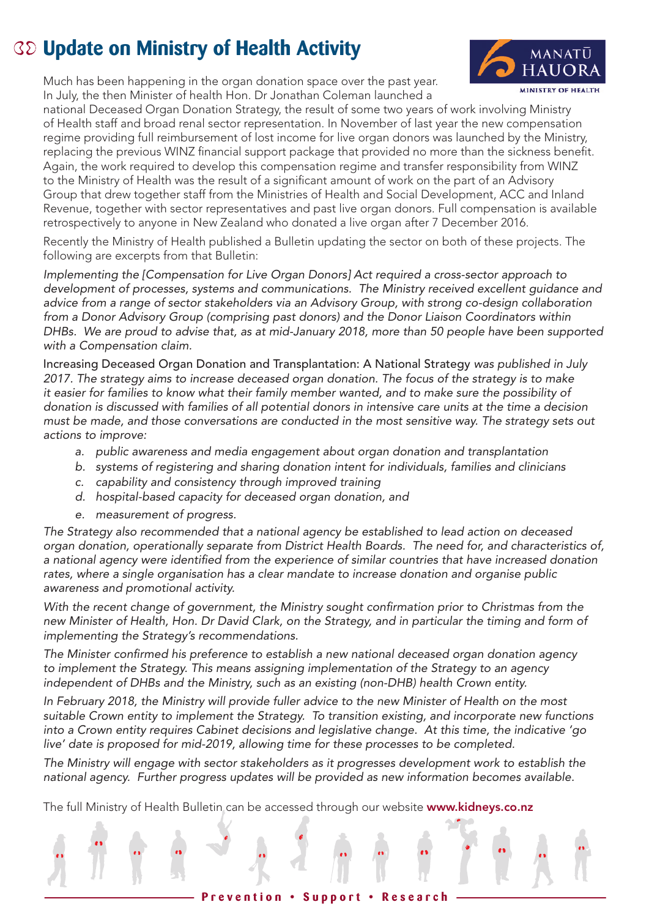# **Update on Ministry of Health Activity**



MINISTRY OF HEALTH national Deceased Organ Donation Strategy, the result of some two years of work involving Ministry of Health staff and broad renal sector representation. In November of last year the new compensation regime providing full reimbursement of lost income for live organ donors was launched by the Ministry, replacing the previous WINZ financial support package that provided no more than the sickness benefit. Again, the work required to develop this compensation regime and transfer responsibility from WINZ to the Ministry of Health was the result of a significant amount of work on the part of an Advisory Group that drew together staff from the Ministries of Health and Social Development, ACC and Inland Revenue, together with sector representatives and past live organ donors. Full compensation is available retrospectively to anyone in New Zealand who donated a live organ after 7 December 2016.

MANATŪ **HAUOR** 

Recently the Ministry of Health published a Bulletin updating the sector on both of these projects. The following are excerpts from that Bulletin:

*Implementing the [Compensation for Live Organ Donors] Act required a cross-sector approach to development of processes, systems and communications. The Ministry received excellent guidance and advice from a range of sector stakeholders via an Advisory Group, with strong co-design collaboration from a Donor Advisory Group (comprising past donors) and the Donor Liaison Coordinators within DHBs. We are proud to advise that, as at mid-January 2018, more than 50 people have been supported with a Compensation claim.*

Increasing Deceased Organ Donation and Transplantation: A National Strategy *was published in July 2017. The strategy aims to increase deceased organ donation. The focus of the strategy is to make it easier for families to know what their family member wanted, and to make sure the possibility of donation is discussed with families of all potential donors in intensive care units at the time a decision must be made, and those conversations are conducted in the most sensitive way. The strategy sets out actions to improve:* 

- *a. public awareness and media engagement about organ donation and transplantation*
- *b. systems of registering and sharing donation intent for individuals, families and clinicians*
- *c. capability and consistency through improved training*
- *d. hospital-based capacity for deceased organ donation, and*
- *e. measurement of progress.*

*The Strategy also recommended that a national agency be established to lead action on deceased organ donation, operationally separate from District Health Boards. The need for, and characteristics of, a national agency were identified from the experience of similar countries that have increased donation rates, where a single organisation has a clear mandate to increase donation and organise public awareness and promotional activity.* 

*With the recent change of government, the Ministry sought confirmation prior to Christmas from the new Minister of Health, Hon. Dr David Clark, on the Strategy, and in particular the timing and form of implementing the Strategy's recommendations.* 

*The Minister confirmed his preference to establish a new national deceased organ donation agency to implement the Strategy. This means assigning implementation of the Strategy to an agency independent of DHBs and the Ministry, such as an existing (non-DHB) health Crown entity.* 

*In February 2018, the Ministry will provide fuller advice to the new Minister of Health on the most suitable Crown entity to implement the Strategy. To transition existing, and incorporate new functions into a Crown entity requires Cabinet decisions and legislative change. At this time, the indicative 'go live' date is proposed for mid-2019, allowing time for these processes to be completed.* 

*The Ministry will engage with sector stakeholders as it progresses development work to establish the national agency. Further progress updates will be provided as new information becomes available.*

The full Ministry of Health Bulletin can be accessed through our website www.kidneys.co.nz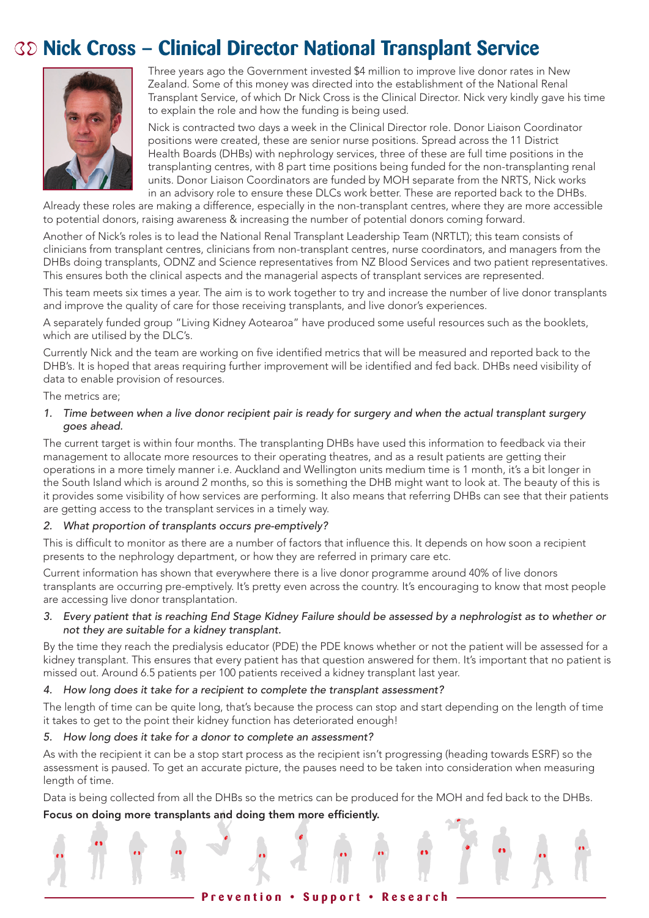# **Nick Cross – Clinical Director National Transplant Service**



Three years ago the Government invested \$4 million to improve live donor rates in New Zealand. Some of this money was directed into the establishment of the National Renal Transplant Service, of which Dr Nick Cross is the Clinical Director. Nick very kindly gave his time to explain the role and how the funding is being used.

Nick is contracted two days a week in the Clinical Director role. Donor Liaison Coordinator positions were created, these are senior nurse positions. Spread across the 11 District Health Boards (DHBs) with nephrology services, three of these are full time positions in the transplanting centres, with 8 part time positions being funded for the non-transplanting renal units. Donor Liaison Coordinators are funded by MOH separate from the NRTS, Nick works in an advisory role to ensure these DLCs work better. These are reported back to the DHBs.

Already these roles are making a difference, especially in the non-transplant centres, where they are more accessible to potential donors, raising awareness & increasing the number of potential donors coming forward.

Another of Nick's roles is to lead the National Renal Transplant Leadership Team (NRTLT); this team consists of clinicians from transplant centres, clinicians from non-transplant centres, nurse coordinators, and managers from the DHBs doing transplants, ODNZ and Science representatives from NZ Blood Services and two patient representatives. This ensures both the clinical aspects and the managerial aspects of transplant services are represented.

This team meets six times a year. The aim is to work together to try and increase the number of live donor transplants and improve the quality of care for those receiving transplants, and live donor's experiences.

A separately funded group "Living Kidney Aotearoa" have produced some useful resources such as the booklets, which are utilised by the DLC's.

Currently Nick and the team are working on five identified metrics that will be measured and reported back to the DHB's. It is hoped that areas requiring further improvement will be identified and fed back. DHBs need visibility of data to enable provision of resources.

#### The metrics are;

#### *1. Time between when a live donor recipient pair is ready for surgery and when the actual transplant surgery goes ahead.*

The current target is within four months. The transplanting DHBs have used this information to feedback via their management to allocate more resources to their operating theatres, and as a result patients are getting their operations in a more timely manner i.e. Auckland and Wellington units medium time is 1 month, it's a bit longer in the South Island which is around 2 months, so this is something the DHB might want to look at. The beauty of this is it provides some visibility of how services are performing. It also means that referring DHBs can see that their patients are getting access to the transplant services in a timely way.

#### *2. What proportion of transplants occurs pre-emptively?*

This is difficult to monitor as there are a number of factors that influence this. It depends on how soon a recipient presents to the nephrology department, or how they are referred in primary care etc.

Current information has shown that everywhere there is a live donor programme around 40% of live donors transplants are occurring pre-emptively. It's pretty even across the country. It's encouraging to know that most people are accessing live donor transplantation.

#### *3. Every patient that is reaching End Stage Kidney Failure should be assessed by a nephrologist as to whether or not they are suitable for a kidney transplant.*

By the time they reach the predialysis educator (PDE) the PDE knows whether or not the patient will be assessed for a kidney transplant. This ensures that every patient has that question answered for them. It's important that no patient is missed out. Around 6.5 patients per 100 patients received a kidney transplant last year.

#### *4. How long does it take for a recipient to complete the transplant assessment?*

The length of time can be quite long, that's because the process can stop and start depending on the length of time it takes to get to the point their kidney function has deteriorated enough!

#### *5. How long does it take for a donor to complete an assessment?*

As with the recipient it can be a stop start process as the recipient isn't progressing (heading towards ESRF) so the assessment is paused. To get an accurate picture, the pauses need to be taken into consideration when measuring length of time.

Data is being collected from all the DHBs so the metrics can be produced for the MOH and fed back to the DHBs.

#### Focus on doing more transplants and doing them more efficiently.